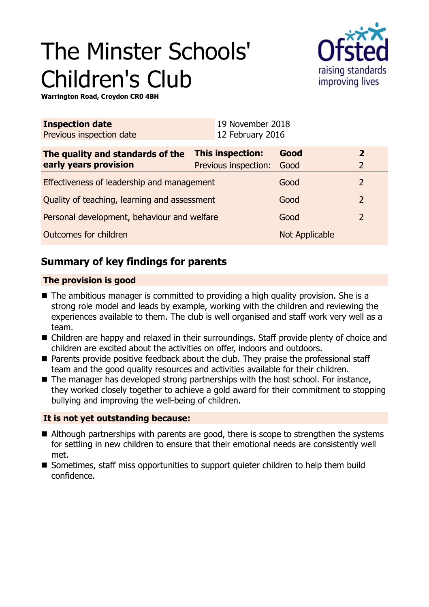# The Minster Schools' Children's Club



**Warrington Road, Croydon CR0 4BH**

| <b>Inspection date</b><br>Previous inspection date        |                                               | 19 November 2018<br>12 February 2016 |                |                                  |
|-----------------------------------------------------------|-----------------------------------------------|--------------------------------------|----------------|----------------------------------|
| The quality and standards of the<br>early years provision | This inspection:<br>Previous inspection: Good |                                      | Good           | $\overline{2}$<br>$\overline{2}$ |
| Effectiveness of leadership and management                |                                               |                                      | Good           | 2                                |
| Quality of teaching, learning and assessment              |                                               |                                      | Good           | $\overline{2}$                   |
| Personal development, behaviour and welfare               |                                               |                                      | Good           | $\overline{2}$                   |
| Outcomes for children                                     |                                               |                                      | Not Applicable |                                  |

## **Summary of key findings for parents**

#### **The provision is good**

- $\blacksquare$  The ambitious manager is committed to providing a high quality provision. She is a strong role model and leads by example, working with the children and reviewing the experiences available to them. The club is well organised and staff work very well as a team.
- Children are happy and relaxed in their surroundings. Staff provide plenty of choice and children are excited about the activities on offer, indoors and outdoors.
- Parents provide positive feedback about the club. They praise the professional staff team and the good quality resources and activities available for their children.
- $\blacksquare$  The manager has developed strong partnerships with the host school. For instance, they worked closely together to achieve a gold award for their commitment to stopping bullying and improving the well-being of children.

#### **It is not yet outstanding because:**

- $\blacksquare$  Although partnerships with parents are good, there is scope to strengthen the systems for settling in new children to ensure that their emotional needs are consistently well met.
- Sometimes, staff miss opportunities to support quieter children to help them build confidence.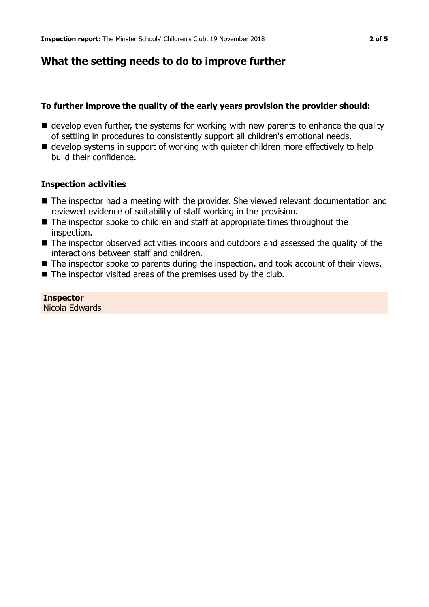## **What the setting needs to do to improve further**

#### **To further improve the quality of the early years provision the provider should:**

- $\blacksquare$  develop even further, the systems for working with new parents to enhance the quality of settling in procedures to consistently support all children's emotional needs.
- $\blacksquare$  develop systems in support of working with quieter children more effectively to help build their confidence.

#### **Inspection activities**

- The inspector had a meeting with the provider. She viewed relevant documentation and reviewed evidence of suitability of staff working in the provision.
- $\blacksquare$  The inspector spoke to children and staff at appropriate times throughout the inspection.
- The inspector observed activities indoors and outdoors and assessed the quality of the interactions between staff and children.
- $\blacksquare$  The inspector spoke to parents during the inspection, and took account of their views.
- $\blacksquare$  The inspector visited areas of the premises used by the club.

**Inspector** Nicola Edwards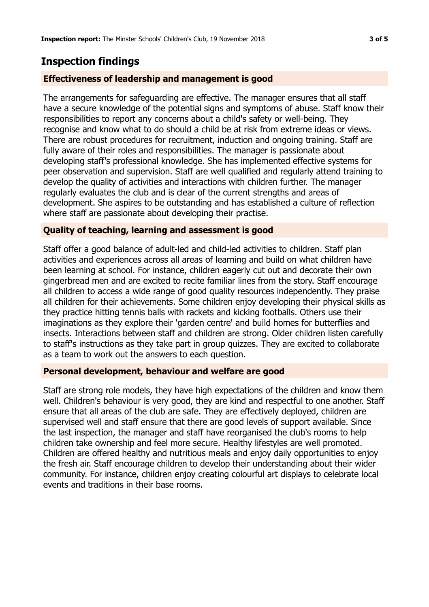## **Inspection findings**

#### **Effectiveness of leadership and management is good**

The arrangements for safeguarding are effective. The manager ensures that all staff have a secure knowledge of the potential signs and symptoms of abuse. Staff know their responsibilities to report any concerns about a child's safety or well-being. They recognise and know what to do should a child be at risk from extreme ideas or views. There are robust procedures for recruitment, induction and ongoing training. Staff are fully aware of their roles and responsibilities. The manager is passionate about developing staff's professional knowledge. She has implemented effective systems for peer observation and supervision. Staff are well qualified and regularly attend training to develop the quality of activities and interactions with children further. The manager regularly evaluates the club and is clear of the current strengths and areas of development. She aspires to be outstanding and has established a culture of reflection where staff are passionate about developing their practise.

#### **Quality of teaching, learning and assessment is good**

Staff offer a good balance of adult-led and child-led activities to children. Staff plan activities and experiences across all areas of learning and build on what children have been learning at school. For instance, children eagerly cut out and decorate their own gingerbread men and are excited to recite familiar lines from the story. Staff encourage all children to access a wide range of good quality resources independently. They praise all children for their achievements. Some children enjoy developing their physical skills as they practice hitting tennis balls with rackets and kicking footballs. Others use their imaginations as they explore their 'garden centre' and build homes for butterflies and insects. Interactions between staff and children are strong. Older children listen carefully to staff's instructions as they take part in group quizzes. They are excited to collaborate as a team to work out the answers to each question.

#### **Personal development, behaviour and welfare are good**

Staff are strong role models, they have high expectations of the children and know them well. Children's behaviour is very good, they are kind and respectful to one another. Staff ensure that all areas of the club are safe. They are effectively deployed, children are supervised well and staff ensure that there are good levels of support available. Since the last inspection, the manager and staff have reorganised the club's rooms to help children take ownership and feel more secure. Healthy lifestyles are well promoted. Children are offered healthy and nutritious meals and enjoy daily opportunities to enjoy the fresh air. Staff encourage children to develop their understanding about their wider community. For instance, children enjoy creating colourful art displays to celebrate local events and traditions in their base rooms.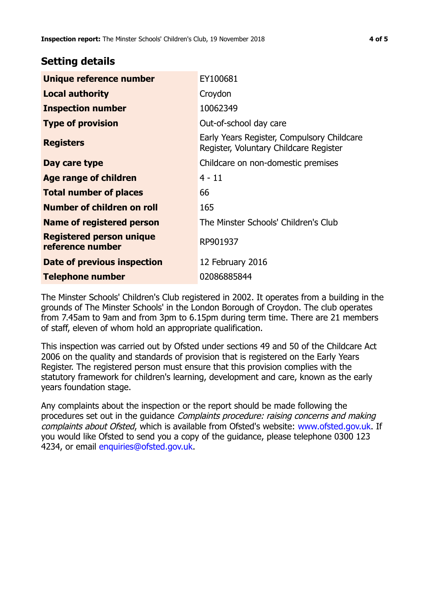### **Setting details**

| Unique reference number                             | EY100681                                                                             |  |
|-----------------------------------------------------|--------------------------------------------------------------------------------------|--|
| <b>Local authority</b>                              | Croydon                                                                              |  |
| <b>Inspection number</b>                            | 10062349                                                                             |  |
| <b>Type of provision</b>                            | Out-of-school day care                                                               |  |
| <b>Registers</b>                                    | Early Years Register, Compulsory Childcare<br>Register, Voluntary Childcare Register |  |
| Day care type                                       | Childcare on non-domestic premises                                                   |  |
| <b>Age range of children</b>                        | $4 - 11$                                                                             |  |
| <b>Total number of places</b>                       | 66                                                                                   |  |
| Number of children on roll                          | 165                                                                                  |  |
| Name of registered person                           | The Minster Schools' Children's Club                                                 |  |
| <b>Registered person unique</b><br>reference number | RP901937                                                                             |  |
| <b>Date of previous inspection</b>                  | 12 February 2016                                                                     |  |
| <b>Telephone number</b>                             | 02086885844                                                                          |  |

The Minster Schools' Children's Club registered in 2002. It operates from a building in the grounds of The Minster Schools' in the London Borough of Croydon. The club operates from 7.45am to 9am and from 3pm to 6.15pm during term time. There are 21 members of staff, eleven of whom hold an appropriate qualification.

This inspection was carried out by Ofsted under sections 49 and 50 of the Childcare Act 2006 on the quality and standards of provision that is registered on the Early Years Register. The registered person must ensure that this provision complies with the statutory framework for children's learning, development and care, known as the early years foundation stage.

Any complaints about the inspection or the report should be made following the procedures set out in the guidance Complaints procedure: raising concerns and making complaints about Ofsted, which is available from Ofsted's website: www.ofsted.gov.uk. If you would like Ofsted to send you a copy of the guidance, please telephone 0300 123 4234, or email [enquiries@ofsted.gov.uk.](mailto:enquiries@ofsted.gov.uk)